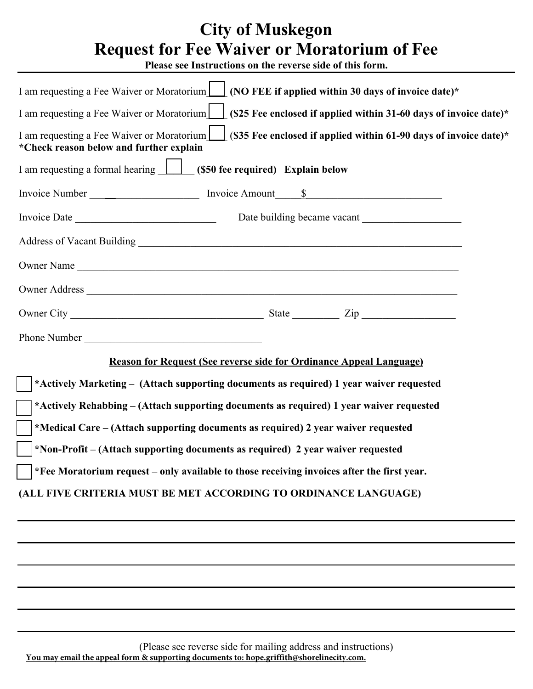# **City of Muskegon Request for Fee Waiver or Moratorium of Fee**

**Please see Instructions on the reverse side of this form.** 

| I am requesting a Fee Waiver or Moratorium $\Box$ (NO FEE if applied within 30 days of invoice date)*                                                          |
|----------------------------------------------------------------------------------------------------------------------------------------------------------------|
| I am requesting a Fee Waiver or Moratorium (S25 Fee enclosed if applied within 31-60 days of invoice date)*                                                    |
| I am requesting a Fee Waiver or Moratorium $\Box$ (\$35 Fee enclosed if applied within 61-90 days of invoice date)*<br>*Check reason below and further explain |
| I am requesting a formal hearing <b>1</b> (\$50 fee required) Explain below                                                                                    |
|                                                                                                                                                                |
|                                                                                                                                                                |
|                                                                                                                                                                |
| Owner Name                                                                                                                                                     |
|                                                                                                                                                                |
|                                                                                                                                                                |
| Phone Number                                                                                                                                                   |
| <b>Reason for Request (See reverse side for Ordinance Appeal Language)</b>                                                                                     |
| *Actively Marketing - (Attach supporting documents as required) 1 year waiver requested                                                                        |
| *Actively Rehabbing – (Attach supporting documents as required) 1 year waiver requested                                                                        |
| *Medical Care – (Attach supporting documents as required) 2 year waiver requested                                                                              |
| *Non-Profit – (Attach supporting documents as required) 2 year waiver requested                                                                                |
| *Fee Moratorium request - only available to those receiving invoices after the first year.                                                                     |
| (ALL FIVE CRITERIA MUST BE MET ACCORDING TO ORDINANCE LANGUAGE)                                                                                                |
|                                                                                                                                                                |
|                                                                                                                                                                |
|                                                                                                                                                                |